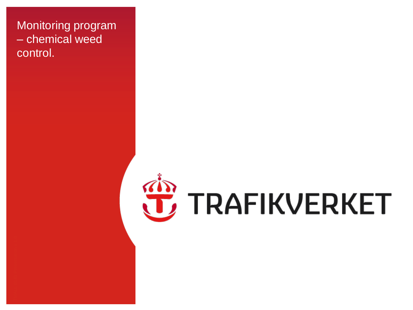#### Monitoring program – chemical weed control.

# **JE** TRAFIKVERKET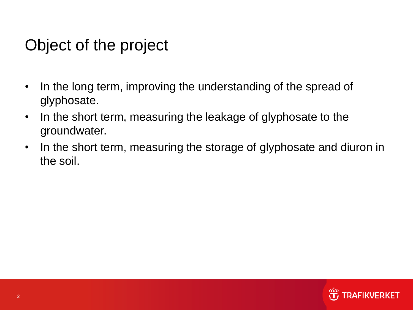### Object of the project

- In the long term, improving the understanding of the spread of glyphosate.
- In the short term, measuring the leakage of glyphosate to the groundwater.
- In the short term, measuring the storage of glyphosate and diuron in the soil.

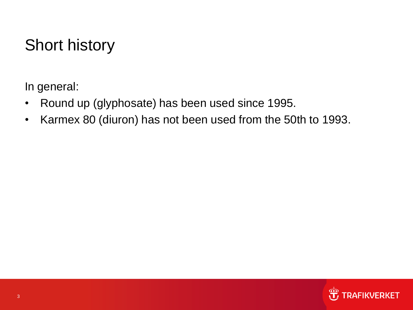# Short history

In general:

- Round up (glyphosate) has been used since 1995.
- Karmex 80 (diuron) has not been used from the 50th to 1993.

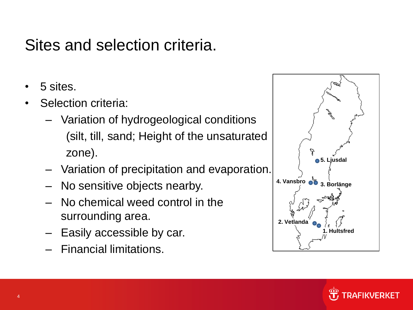### Sites and selection criteria.

- 5 sites.
- Selection criteria:
	- Variation of hydrogeological conditions (silt, till, sand; Height of the unsaturated zone).
	- Variation of precipitation and evaporation.
	- No sensitive objects nearby.
	- No chemical weed control in the surrounding area.
	- Easily accessible by car.
	- Financial limitations.



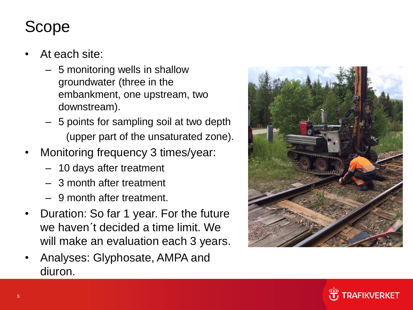# Scope

- At each site:
	- 5 monitoring wells in shallow groundwater (three in the embankment, one upstream, two downstream).
	- 5 points for sampling soil at two depth (upper part of the unsaturated zone).
- Monitoring frequency 3 times/year:
	- 10 days after treatment
	- 3 month after treatment
	- 9 month after treatment.
- Duration: So far 1 year. For the future we haven´t decided a time limit. We will make an evaluation each 3 years.
- Analyses: Glyphosate, AMPA and diuron.



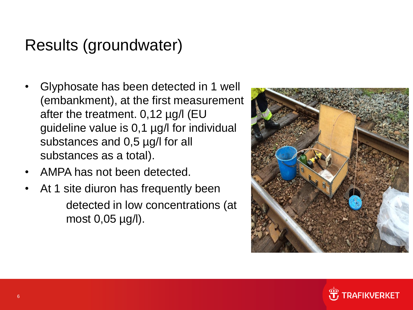### Results (groundwater)

- Glyphosate has been detected in 1 well (embankment), at the first measurement after the treatment. 0,12 µg/l (EU guideline value is 0,1 µg/l for individual substances and 0,5 µg/l for all substances as a total).
- AMPA has not been detected.
- At 1 site diuron has frequently been detected in low concentrations (at most 0,05 µg/l).